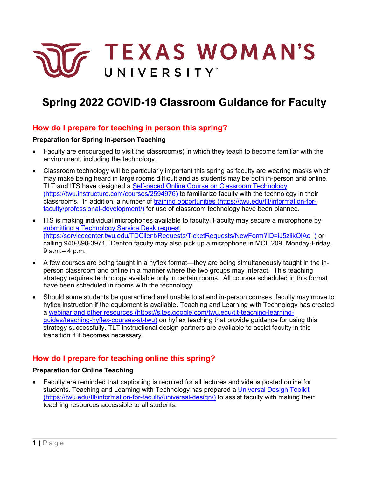

# **Spring 2022 COVID-19 Classroom Guidance for Faculty**

## **How do I prepare for teaching in person this spring?**

#### **Preparation for Spring In-person Teaching**

- Faculty are encouraged to visit the classroom(s) in which they teach to become familiar with the environment, including the technology.
- Classroom technology will be particularly important this spring as faculty are wearing masks which may make being heard in large rooms difficult and as students may be both in-person and online. TLT and ITS have designed a [Self-paced Online Course on Classroom Technology](https://twu.instructure.com/courses/2594976)  [\(https://twu.instructure.com/courses/2594976\)](https://twu.instructure.com/courses/2594976) to familiarize faculty with the technology in their classrooms. In addition, a number of [training opportunities \(https://twu.edu/tlt/information-for](https://twu.edu/tlt/information-for-faculty/professional-development/)[faculty/professional-development/\)](https://twu.edu/tlt/information-for-faculty/professional-development/) for use of classroom technology have been planned.
- ITS is making individual microphones available to faculty. Faculty may secure a microphone by [submitting a Technology Service Desk request](https://servicecenter.twu.edu/TDClient/Requests/TicketRequests/NewForm?ID=iJ5zlikOlAo_)  [\(https:/servicecenter.twu.edu/TDClient/Requests/TicketRequests/NewForm?ID=iJ5zlikOlAo\\_\)](https://servicecenter.twu.edu/TDClient/Requests/TicketRequests/NewForm?ID=iJ5zlikOlAo_) or calling 940-898-3971. Denton faculty may also pick up a microphone in MCL 209, Monday-Friday, 9 a.m.– 4 p.m.
- A few courses are being taught in a hyflex format—they are being simultaneously taught in the inperson classroom and online in a manner where the two groups may interact. This teaching strategy requires technology available only in certain rooms. All courses scheduled in this format have been scheduled in rooms with the technology.
- Should some students be quarantined and unable to attend in-person courses, faculty may move to hyflex instruction if the equipment is available. Teaching and Learning with Technology has created a [webinar and other resources \(https://sites.google.com/twu.edu/tlt-teaching-learning](https://sites.google.com/twu.edu/tlt-teaching-learning-guides/teaching-hyflex-courses-at-twu)[guides/teaching-hyflex-courses-at-twu\)](https://sites.google.com/twu.edu/tlt-teaching-learning-guides/teaching-hyflex-courses-at-twu) on hyflex teaching that provide guidance for using this strategy successfully. TLT instructional design partners are available to assist faculty in this transition if it becomes necessary.

# **How do I prepare for teaching online this spring?**

#### **Preparation for Online Teaching**

• Faculty are reminded that captioning is required for all lectures and videos posted online for students. Teaching and Learning with Technology has prepared a Universal Design Toolkit [\(https://twu.edu/tlt/information-for-faculty/universal-design/\)](https://twu.edu/tlt/information-for-faculty/universal-design/) to assist faculty with making their teaching resources accessible to all students.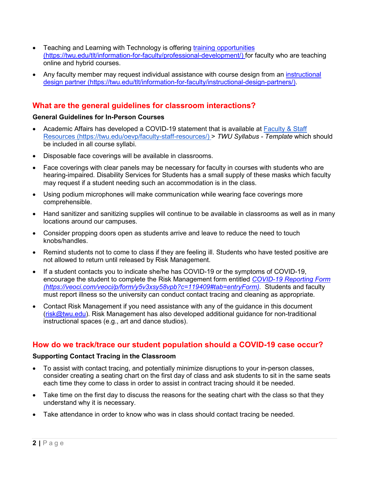- Teaching and Learning with Technology is offering training opportunities [\(https://twu.edu/tlt/information-for-faculty/professional-development/\)](https://twu.edu/tlt/information-for-faculty/professional-development/) for faculty who are teaching online and hybrid courses.
- Any faculty member may request individual assistance with course design from an [instructional](https://twu.edu/tlt/information-for-faculty/instructional-design-partners/)  [design partner \(https://twu.edu/tlt/information-for-faculty/instructional-design-partners/\).](https://twu.edu/tlt/information-for-faculty/instructional-design-partners/)

# **What are the general guidelines for classroom interactions?**

#### **General Guidelines for In-Person Courses**

- Academic Affairs has developed a COVID-19 statement that is available at [Faculty & Staff](https://twu.edu/oevp/faculty-staff-resources/)  [Resources \(https://twu.edu/oevp/faculty-staff-resources/\)](https://twu.edu/oevp/faculty-staff-resources/) > *TWU Syllabus - Template* which should be included in all course syllabi.
- Disposable face coverings will be available in classrooms.
- Face coverings with clear panels may be necessary for faculty in courses with students who are hearing-impaired. Disability Services for Students has a small supply of these masks which faculty may request if a student needing such an accommodation is in the class.
- Using podium microphones will make communication while wearing face coverings more comprehensible.
- Hand sanitizer and sanitizing supplies will continue to be available in classrooms as well as in many locations around our campuses.
- Consider propping doors open as students arrive and leave to reduce the need to touch knobs/handles.
- Remind students not to come to class if they are feeling ill. Students who have tested positive are not allowed to return until released by Risk Management.
- If a student contacts you to indicate she/he has COVID-19 or the symptoms of COVID-19, encourage the student to complete the Risk Management form entitled *[COVID-19 Reporting Form](https://veoci.com/veoci/p/form/y5v3xsy58vpb?c=119409#tab=entryForm)  [\(https://veoci.com/veoci/p/form/y5v3xsy58vpb?c=119409#tab=entryForm\).](https://veoci.com/veoci/p/form/y5v3xsy58vpb?c=119409#tab=entryForm)* Students and faculty must report illness so the university can conduct contact tracing and cleaning as appropriate.
- Contact Risk Management if you need assistance with any of the guidance in this document [\(risk@twu.edu\)](mailto:risk@twu.edu). Risk Management has also developed additional guidance for non-traditional instructional spaces (e.g., art and dance studios).

### **How do we track/trace our student population should a COVID-19 case occur?**

#### **Supporting Contact Tracing in the Classroom**

- To assist with contact tracing, and potentially minimize disruptions to your in-person classes, consider creating a seating chart on the first day of class and ask students to sit in the same seats each time they come to class in order to assist in contract tracing should it be needed.
- Take time on the first day to discuss the reasons for the seating chart with the class so that they understand why it is necessary.
- Take attendance in order to know who was in class should contact tracing be needed.